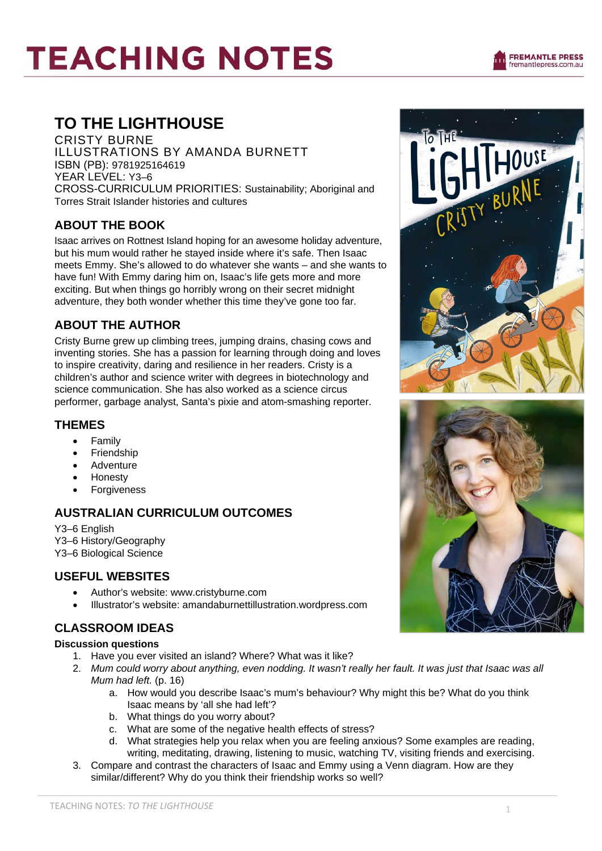# **TEACHING NOTES**

## **TO THE LIGHTHOUSE**

CRISTY BURNE ILLUSTRATIONS BY AMANDA BURNETT ISBN (PB): 9781925164619 YEAR LEVEL: Y3–6 CROSS-CURRICULUM PRIORITIES: Sustainability; Aboriginal and Torres Strait Islander histories and cultures

## **ABOUT THE BOOK**

Isaac arrives on Rottnest Island hoping for an awesome holiday adventure, but his mum would rather he stayed inside where it's safe. Then Isaac meets Emmy. She's allowed to do whatever she wants – and she wants to have fun! With Emmy daring him on, Isaac's life gets more and more exciting. But when things go horribly wrong on their secret midnight adventure, they both wonder whether this time they've gone too far.

## **ABOUT THE AUTHOR**

Cristy Burne grew up climbing trees, jumping drains, chasing cows and inventing stories. She has a passion for learning through doing and loves to inspire creativity, daring and resilience in her readers. Cristy is a children's author and science writer with degrees in biotechnology and science communication. She has also worked as a science circus performer, garbage analyst, Santa's pixie and atom-smashing reporter.

#### **THEMES**

- Family
- **Friendship**
- **Adventure**
- **Honesty**
- **Forgiveness**

### **AUSTRALIAN CURRICULUM OUTCOMES**

Y3–6 English Y3–6 History/Geography Y3–6 Biological Science

### **USEFUL WEBSITES**

- Author's website: www.cristyburne.com
- Illustrator's website: amandaburnettillustration.wordpress.com

## **CLASSROOM IDEAS**

#### **Discussion questions**

- 1. Have you ever visited an island? Where? What was it like?
- 2. *Mum could worry about anything, even nodding. It wasn't really her fault. It was just that Isaac was all Mum had left.* (p. 16)
	- a. How would you describe Isaac's mum's behaviour? Why might this be? What do you think Isaac means by 'all she had left'?
	- b. What things do you worry about?
	- c. What are some of the negative health effects of stress?
	- d. What strategies help you relax when you are feeling anxious? Some examples are reading, writing, meditating, drawing, listening to music, watching TV, visiting friends and exercising.
- 3. Compare and contrast the characters of Isaac and Emmy using a Venn diagram. How are they similar/different? Why do you think their friendship works so well?